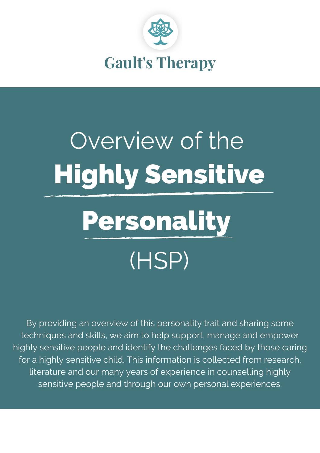

## Highly Sensitive Overview of the

## Personality (HSP)

By providing an overview of this personality trait and sharing some techniques and skills, we aim to help support, manage and empower highly sensitive people and identify the challenges faced by those caring for a highly sensitive child. This information is collected from research, literature and our many years of experience in counselling highly sensitive people and through our own personal experiences.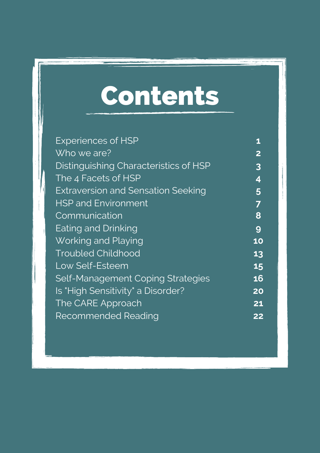### Contents

| <b>Experiences of HSP</b>                 | 1                       |
|-------------------------------------------|-------------------------|
| Who we are?                               | $\overline{2}$          |
| Distinguishing Characteristics of HSP     | $\overline{\mathbf{3}}$ |
| The 4 Facets of HSP                       | 4                       |
| <b>Extraversion and Sensation Seeking</b> | 5                       |
| <b>HSP and Environment</b>                | 7                       |
| Communication                             | 8                       |
| Eating and Drinking                       | 9                       |
| Working and Playing                       | 10                      |
| <b>Troubled Childhood</b>                 | 13                      |
| Low Self-Esteem                           | 15                      |
| <b>Self-Management Coping Strategies</b>  | 16                      |
| Is "High Sensitivity" a Disorder?         | 20                      |
| The CARE Approach                         | 21                      |
| <b>Recommended Reading</b>                | 22                      |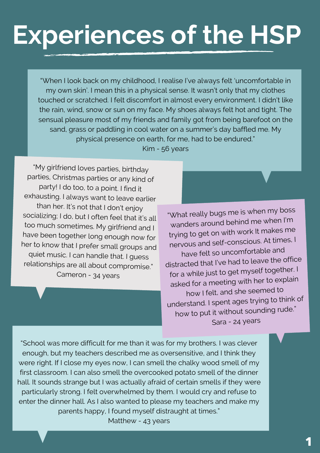### **Experiences of the HSP**

"When I look back on my childhood, I realise I've always felt 'uncomfortable in my own skin'. I mean this in a physical sense. It wasn't only that my clothes touched or scratched. I felt discomfort in almost every environment. I didn't like the rain, wind, snow or sun on my face. My shoes always felt hot and tight. The sensual pleasure most of my friends and family got from being barefoot on the sand, grass or paddling in cool water on a summer's day baffled me. My physical presence on earth, for me, had to be endured." Kim - 56 years

"My girlfriend loves parties, birthday parties, Christmas parties or any kind of party! <sup>I</sup> do too, to <sup>a</sup> point. <sup>I</sup> find it exhausting. <sup>I</sup> always want to leave earlier than her. It's not that <sup>I</sup> don't enjoy socializing; <sup>I</sup> do, but <sup>I</sup> often feel that it's all too much sometimes. My girlfriend and <sup>I</sup> have been together long enough now for her to know that <sup>I</sup> prefer small groups and quiet music. <sup>I</sup> can handle that. <sup>I</sup> guess relationships are all about compromise." Cameron - 34 years

"What really bugs me is when my boss wanders around behind me when I'm trying to ge<sup>t</sup> on with work It makes me nervous and self-conscious. At times, <sup>I</sup> have felt so uncomfortable and distracted that I've had to leave the office for <sup>a</sup> while just to ge<sup>t</sup> myself together. <sup>I</sup> asked for <sup>a</sup> meeting with her to explain how <sup>I</sup> felt, and she seemed to understand. <sup>I</sup> spen<sup>t</sup> ages trying to think of how to pu<sup>t</sup> it without sounding rude." Sara - 24 years

"School was more difficult for me than it was for my brothers. I was clever enough, but my teachers described me as oversensitive, and I think they were right. If I close my eyes now, I can smell the chalky wood smell of my first classroom. I can also smell the overcooked potato smell of the dinner hall. It sounds strange but I was actually afraid of certain smells if they were particularly strong. I felt overwhelmed by them. I would cry and refuse to enter the dinner hall. As I also wanted to please my teachers and make my parents happy, I found myself distraught at times."

Matthew - 43 years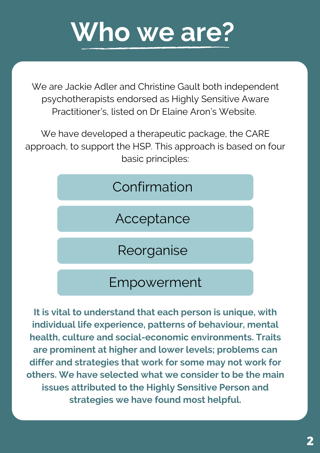### **Who we are?**

We are Jackie Adler and Christine Gault both independent psychotherapists endorsed as Highly Sensitive Aware Practitioner's, listed on Dr Elaine Aron's Website.

We have developed a therapeutic package, the CARE approach, to support the HSP. This approach is based on four basic principles:



Acceptance

Reorganise

### Empowerment

**It is vital to understand that each person is unique, with individual life experience, patterns of behaviour, mental health, culture and social-economic environments. Traits are prominent at higher and lower levels; problems can differ and strategies that work for some may not work for others. We have selected what we consider to be the main issues attributed to the Highly Sensitive Person and strategies we have found most helpful.**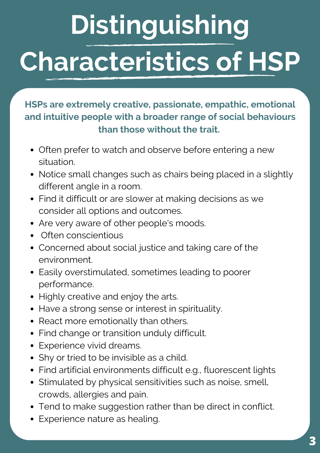## **Distinguishing Characteristics of HSP**

**HSPs are extremely creative, passionate, empathic, emotional and intuitive people with a broader range of social behaviours than those without the trait.**

- Often prefer to watch and observe before entering a new situation.
- Notice small changes such as chairs being placed in a slightly different angle in a room.
- Find it difficult or are slower at making decisions as we consider all options and outcomes.
- Are very aware of other people's moods.
- Often conscientious
- Concerned about social justice and taking care of the environment.
- Easily overstimulated, sometimes leading to poorer performance.
- Highly creative and enjoy the arts.
- Have a strong sense or interest in spirituality.
- React more emotionally than others.
- Find change or transition unduly difficult.
- Experience vivid dreams.
- Shy or tried to be invisible as a child.
- Find artificial environments difficult e.g., fluorescent lights
- Stimulated by physical sensitivities such as noise, smell, crowds, allergies and pain.
- Tend to make suggestion rather than be direct in conflict.
- Experience nature as healing.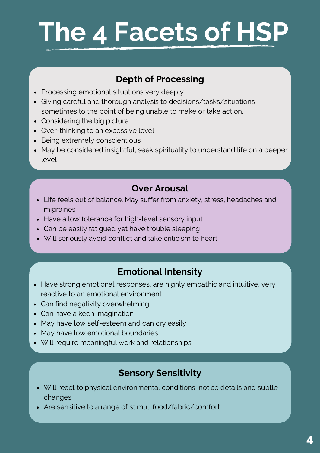### **The 4 Facets of HSP**

#### **Depth of Processing**

- Processing emotional situations very deeply
- Giving careful and thorough analysis to decisions/tasks/situations sometimes to the point of being unable to make or take action.
- Considering the big picture
- Over-thinking to an excessive level
- Being extremely conscientious
- May be considered insightful, seek spirituality to understand life on a deeper level

#### **Over Arousal**

- Life feels out of balance. May suffer from anxiety, stress, headaches and migraines
- Have a low tolerance for high-level sensory input
- Can be easily fatigued yet have trouble sleeping
- Will seriously avoid conflict and take criticism to heart

#### **Emotional Intensity**

- Have strong emotional responses, are highly empathic and intuitive, very reactive to an emotional environment
- Can find negativity overwhelming
- Can have a keen imagination
- May have low self-esteem and can cry easily
- May have low emotional boundaries
- Will require meaningful work and relationships

#### **Sensory Sensitivity**

- Will react to physical environmental conditions, notice details and subtle changes.
- Are sensitive to a range of stimuli food/fabric/comfort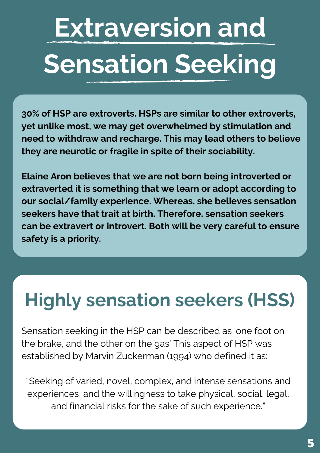## **Extraversion and Sensation Seeking**

**30% of HSP are extroverts. HSPs are similar to other extroverts, yet unlike most, we may get overwhelmed by stimulation and need to withdraw and recharge. This may lead others to believe they are neurotic or fragile in spite of their sociability.**

**Elaine Aron believes that we are not born being introverted or extraverted it is something that we learn or adopt according to our social/family experience. Whereas, she believes sensation seekers have that trait at birth. Therefore, sensation seekers can be extravert or introvert. Both will be very careful to ensure safety is a priority.**

### **Highly sensation seekers (HSS)**

Sensation seeking in the HSP can be described as 'one foot on the brake, and the other on the gas' This aspect of HSP was established by Marvin Zuckerman (1994) who defined it as:

"Seeking of varied, novel, complex, and intense sensations and experiences, and the willingness to take physical, social, legal, and financial risks for the sake of such experience."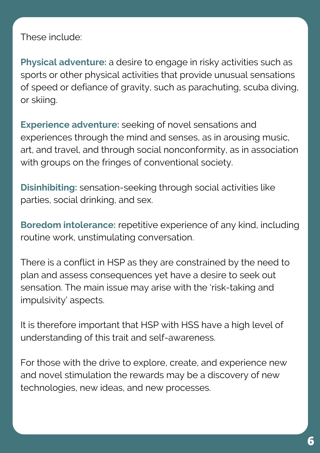These include:

**Physical adventure:** a desire to engage in risky activities such as sports or other physical activities that provide unusual sensations of speed or defiance of gravity, such as parachuting, scuba diving, or skiing.

**Experience adventure:** seeking of novel sensations and experiences through the mind and senses, as in arousing music, art, and travel, and through social nonconformity, as in association with groups on the fringes of conventional society.

**Disinhibiting:** sensation-seeking through social activities like parties, social drinking, and sex.

**Boredom intolerance:** repetitive experience of any kind, including routine work, unstimulating conversation.

There is a conflict in HSP as they are constrained by the need to plan and assess consequences yet have a desire to seek out sensation. The main issue may arise with the 'risk-taking and impulsivity' aspects.

It is therefore important that HSP with HSS have a high level of understanding of this trait and self-awareness.

For those with the drive to explore, create, and experience new and novel stimulation the rewards may be a discovery of new technologies, new ideas, and new processes.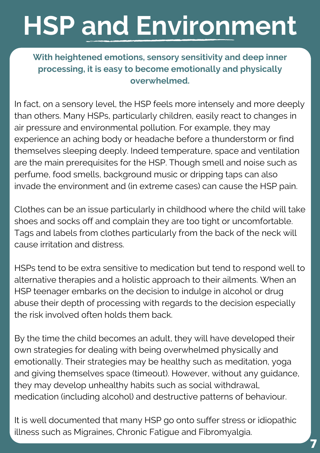### **HSP and Environment**

**With heightened emotions, sensory sensitivity and deep inner processing, it is easy to become emotionally and physically overwhelmed.**

In fact, on a sensory level, the HSP feels more intensely and more deeply than others. Many HSPs, particularly children, easily react to changes in air pressure and environmental pollution. For example, they may experience an aching body or headache before a thunderstorm or find themselves sleeping deeply. Indeed temperature, space and ventilation are the main prerequisites for the HSP. Though smell and noise such as perfume, food smells, background music or dripping taps can also invade the environment and (in extreme cases) can cause the HSP pain.

Clothes can be an issue particularly in childhood where the child will take shoes and socks off and complain they are too tight or uncomfortable. Tags and labels from clothes particularly from the back of the neck will cause irritation and distress.

HSPs tend to be extra sensitive to medication but tend to respond well to alternative therapies and a holistic approach to their ailments. When an HSP teenager embarks on the decision to indulge in alcohol or drug abuse their depth of processing with regards to the decision especially the risk involved often holds them back.

By the time the child becomes an adult, they will have developed their own strategies for dealing with being overwhelmed physically and emotionally. Their strategies may be healthy such as meditation, yoga and giving themselves space (timeout). However, without any guidance, they may develop unhealthy habits such as social withdrawal, medication (including alcohol) and destructive patterns of behaviour.

It is well documented that many HSP go onto suffer stress or idiopathic illness such as Migraines, Chronic Fatigue and Fibromyalgia.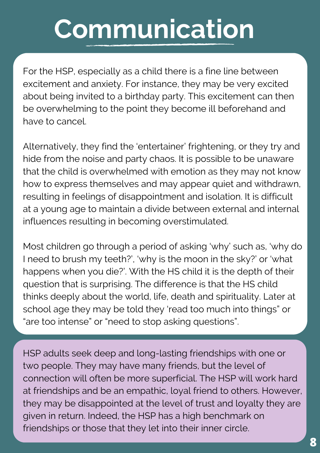### **Communication**

For the HSP, especially as a child there is a fine line between excitement and anxiety. For instance, they may be very excited about being invited to a birthday party. This excitement can then be overwhelming to the point they become ill beforehand and have to cancel.

Alternatively, they find the 'entertainer' frightening, or they try and hide from the noise and party chaos. It is possible to be unaware that the child is overwhelmed with emotion as they may not know how to express themselves and may appear quiet and withdrawn, resulting in feelings of disappointment and isolation. It is difficult at a young age to maintain a divide between external and internal influences resulting in becoming overstimulated.

Most children go through a period of asking 'why' such as, 'why do I need to brush my teeth?', 'why is the moon in the sky?' or 'what happens when you die?'. With the HS child it is the depth of their question that is surprising. The difference is that the HS child thinks deeply about the world, life, death and spirituality. Later at school age they may be told they 'read too much into things" or "are too intense" or "need to stop asking questions".

HSP adults seek deep and long-lasting friendships with one or two people. They may have many friends, but the level of connection will often be more superficial. The HSP will work hard at friendships and be an empathic, loyal friend to others. However, they may be disappointed at the level of trust and loyalty they are given in return. Indeed, the HSP has a high benchmark on friendships or those that they let into their inner circle.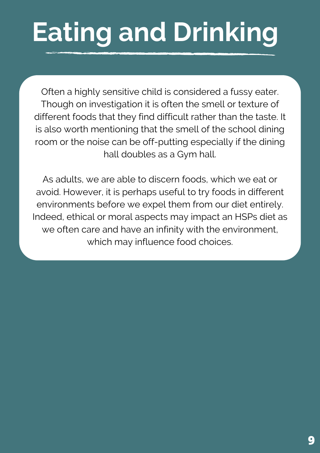### **Eating and Drinking**

Often a highly sensitive child is considered a fussy eater. Though on investigation it is often the smell or texture of different foods that they find difficult rather than the taste. It is also worth mentioning that the smell of the school dining room or the noise can be off-putting especially if the dining hall doubles as a Gym hall.

As adults, we are able to discern foods, which we eat or avoid. However, it is perhaps useful to try foods in different environments before we expel them from our diet entirely. Indeed, ethical or moral aspects may impact an HSPs diet as we often care and have an infinity with the environment, which may influence food choices.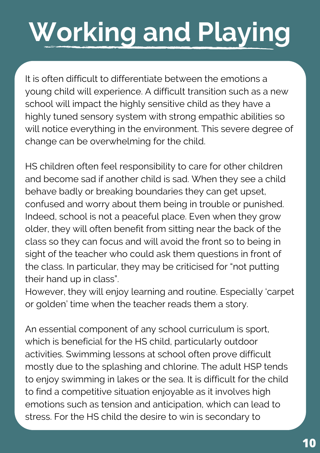## **Working and Playing**

It is often difficult to differentiate between the emotions a young child will experience. A difficult transition such as a new school will impact the highly sensitive child as they have a highly tuned sensory system with strong empathic abilities so will notice everything in the environment. This severe degree of change can be overwhelming for the child.

HS children often feel responsibility to care for other children and become sad if another child is sad. When they see a child behave badly or breaking boundaries they can get upset, confused and worry about them being in trouble or punished. Indeed, school is not a peaceful place. Even when they grow older, they will often benefit from sitting near the back of the class so they can focus and will avoid the front so to being in sight of the teacher who could ask them questions in front of the class. In particular, they may be criticised for "not putting their hand up in class".

However, they will enjoy learning and routine. Especially 'carpet or golden' time when the teacher reads them a story.

An essential component of any school curriculum is sport, which is beneficial for the HS child, particularly outdoor activities. Swimming lessons at school often prove difficult mostly due to the splashing and chlorine. The adult HSP tends to enjoy swimming in lakes or the sea. It is difficult for the child to find a competitive situation enjoyable as it involves high emotions such as tension and anticipation, which can lead to stress. For the HS child the desire to win is secondary to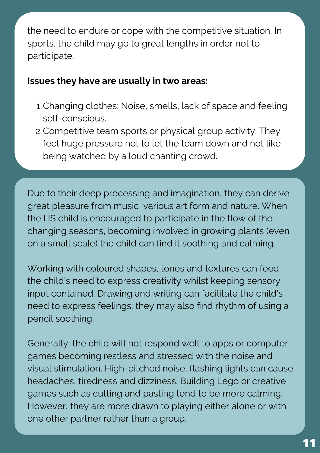the need to endure or cope with the competitive situation. In sports, the child may go to great lengths in order not to participate.

#### **Issues they have are usually in two areas:**

- Changing clothes: Noise, smells, lack of space and feeling 1. self-conscious.
- Competitive team sports or physical group activity: They 2. feel huge pressure not to let the team down and not like being watched by a loud chanting crowd.

Due to their deep processing and imagination, they can derive great pleasure from music, various art form and nature. When the HS child is encouraged to participate in the flow of the changing seasons, becoming involved in growing plants (even on a small scale) the child can find it soothing and calming.

Working with coloured shapes, tones and textures can feed the child's need to express creativity whilst keeping sensory input contained. Drawing and writing can facilitate the child's need to express feelings; they may also find rhythm of using a pencil soothing.

Generally, the child will not respond well to apps or computer games becoming restless and stressed with the noise and visual stimulation. High-pitched noise, flashing lights can cause headaches, tiredness and dizziness. Building Lego or creative games such as cutting and pasting tend to be more calming. However, they are more drawn to playing either alone or with one other partner rather than a group.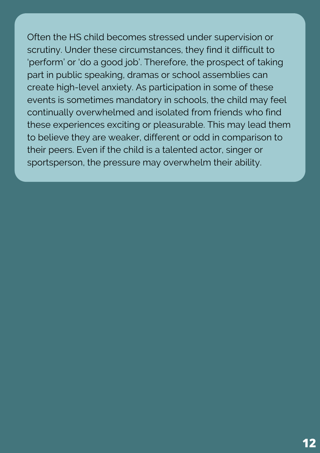Often the HS child becomes stressed under supervision or scrutiny. Under these circumstances, they find it difficult to 'perform' or 'do a good job'. Therefore, the prospect of taking part in public speaking, dramas or school assemblies can create high-level anxiety. As participation in some of these events is sometimes mandatory in schools, the child may feel continually overwhelmed and isolated from friends who find these experiences exciting or pleasurable. This may lead them to believe they are weaker, different or odd in comparison to their peers. Even if the child is a talented actor, singer or sportsperson, the pressure may overwhelm their ability.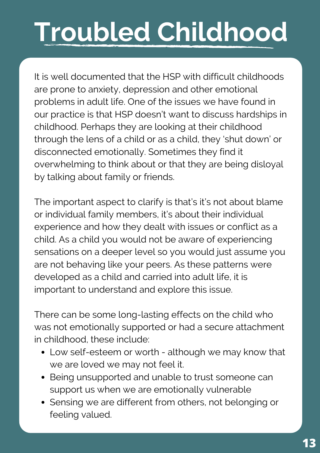## **Troubled Childhood**

It is well documented that the HSP with difficult childhoods are prone to anxiety, depression and other emotional problems in adult life. One of the issues we have found in our practice is that HSP doesn't want to discuss hardships in childhood. Perhaps they are looking at their childhood through the lens of a child or as a child, they 'shut down' or disconnected emotionally. Sometimes they find it overwhelming to think about or that they are being disloyal by talking about family or friends.

The important aspect to clarify is that's it's not about blame or individual family members, it's about their individual experience and how they dealt with issues or conflict as a child. As a child you would not be aware of experiencing sensations on a deeper level so you would just assume you are not behaving like your peers. As these patterns were developed as a child and carried into adult life, it is important to understand and explore this issue.

There can be some long-lasting effects on the child who was not emotionally supported or had a secure attachment in childhood, these include:

- Low self-esteem or worth although we may know that we are loved we may not feel it.
- Being unsupported and unable to trust someone can support us when we are emotionally vulnerable
- Sensing we are different from others, not belonging or feeling valued.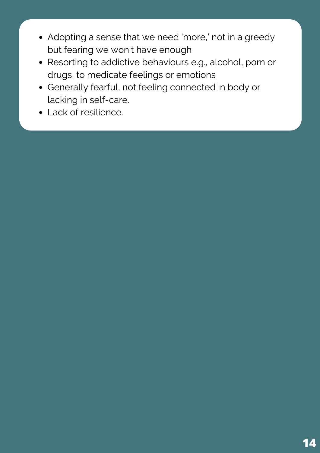- Adopting a sense that we need 'more,' not in a greedy but fearing we won't have enough
- Resorting to addictive behaviours e.g., alcohol, porn or drugs, to medicate feelings or emotions
- Generally fearful, not feeling connected in body or lacking in self-care.
- Lack of resilience.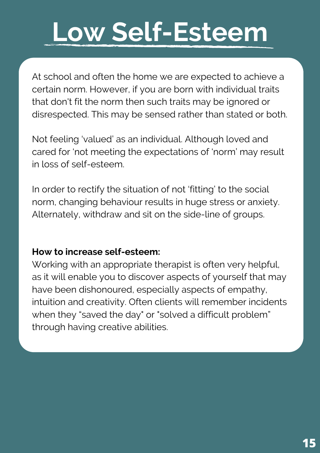### **Low Self-Esteem**

At school and often the home we are expected to achieve a certain norm. However, if you are born with individual traits that don't fit the norm then such traits may be ignored or disrespected. This may be sensed rather than stated or both.

Not feeling 'valued' as an individual. Although loved and cared for 'not meeting the expectations of 'norm' may result in loss of self-esteem.

In order to rectify the situation of not 'fitting' to the social norm, changing behaviour results in huge stress or anxiety. Alternately, withdraw and sit on the side-line of groups.

#### **How to increase self-esteem:**

Working with an appropriate therapist is often very helpful, as it will enable you to discover aspects of yourself that may have been dishonoured, especially aspects of empathy, intuition and creativity. Often clients will remember incidents when they "saved the day" or "solved a difficult problem" through having creative abilities.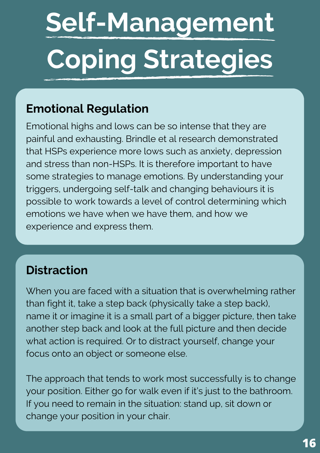# **Self-Management Coping Strategies**

### **Emotional Regulation**

Emotional highs and lows can be so intense that they are painful and exhausting. Brindle et al research demonstrated that HSPs experience more lows such as anxiety, depression and stress than non-HSPs. It is therefore important to have some strategies to manage emotions. By understanding your triggers, undergoing self-talk and changing behaviours it is possible to work towards a level of control determining which emotions we have when we have them, and how we experience and express them.

### **Distraction**

When you are faced with a situation that is overwhelming rather than fight it, take a step back (physically take a step back), name it or imagine it is a small part of a bigger picture, then take another step back and look at the full picture and then decide what action is required. Or to distract yourself, change your focus onto an object or someone else.

The approach that tends to work most successfully is to change your position. Either go for walk even if it's just to the bathroom. If you need to remain in the situation: stand up, sit down or change your position in your chair.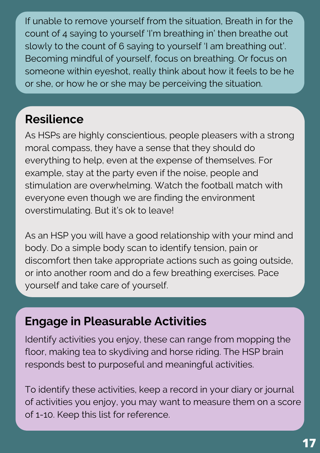If unable to remove yourself from the situation, Breath in for the count of 4 saying to yourself 'I'm breathing in' then breathe out slowly to the count of 6 saying to yourself 'I am breathing out'. Becoming mindful of yourself, focus on breathing. Or focus on someone within eyeshot, really think about how it feels to be he or she, or how he or she may be perceiving the situation.

### **Resilience**

As HSPs are highly conscientious, people pleasers with a strong moral compass, they have a sense that they should do everything to help, even at the expense of themselves. For example, stay at the party even if the noise, people and stimulation are overwhelming. Watch the football match with everyone even though we are finding the environment overstimulating. But it's ok to leave!

As an HSP you will have a good relationship with your mind and body. Do a simple body scan to identify tension, pain or discomfort then take appropriate actions such as going outside, or into another room and do a few breathing exercises. Pace yourself and take care of yourself.

### **Engage in Pleasurable Activities**

Identify activities you enjoy, these can range from mopping the floor, making tea to skydiving and horse riding. The HSP brain responds best to purposeful and meaningful activities.

To identify these activities, keep a record in your diary or journal of activities you enjoy, you may want to measure them on a score of 1-10. Keep this list for reference.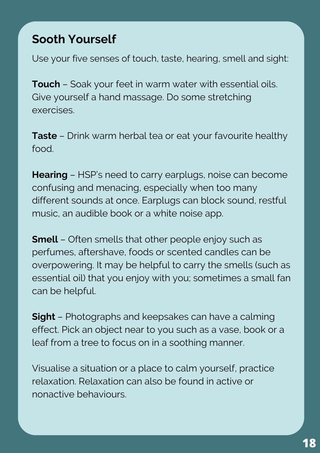### **Sooth Yourself**

Use your five senses of touch, taste, hearing, smell and sight:

**Touch** – Soak your feet in warm water with essential oils. Give yourself a hand massage. Do some stretching exercises.

**Taste** – Drink warm herbal tea or eat your favourite healthy food.

**Hearing** – HSP's need to carry earplugs, noise can become confusing and menacing, especially when too many different sounds at once. Earplugs can block sound, restful music, an audible book or a white noise app.

**Smell** – Often smells that other people enjoy such as perfumes, aftershave, foods or scented candles can be overpowering. It may be helpful to carry the smells (such as essential oil) that you enjoy with you; sometimes a small fan can be helpful.

**Sight** – Photographs and keepsakes can have a calming effect. Pick an object near to you such as a vase, book or a leaf from a tree to focus on in a soothing manner.

Visualise a situation or a place to calm yourself, practice relaxation. Relaxation can also be found in active or nonactive behaviours.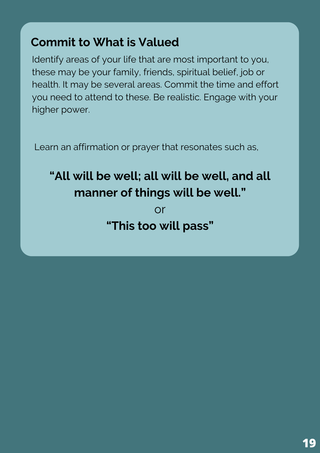### **Commit to What is Valued**

Identify areas of your life that are most important to you, these may be your family, friends, spiritual belief, job or health. It may be several areas. Commit the time and effort you need to attend to these. Be realistic. Engage with your higher power.

Learn an affirmation or prayer that resonates such as,

### **"All will be well; all will be well, and all manner of things will be well."**

or **"This too will pass"**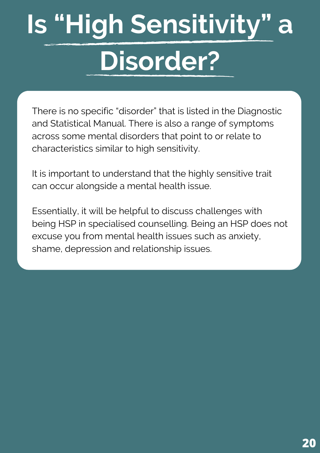## **Is "High Sensitivity" a Disorder?**

There is no specific "disorder" that is listed in the Diagnostic and Statistical Manual. There is also a range of symptoms across some mental disorders that point to or relate to characteristics similar to high sensitivity.

It is important to understand that the highly sensitive trait can occur alongside a mental health issue.

Essentially, it will be helpful to discuss challenges with being HSP in specialised counselling. Being an HSP does not excuse you from mental health issues such as anxiety, shame, depression and relationship issues.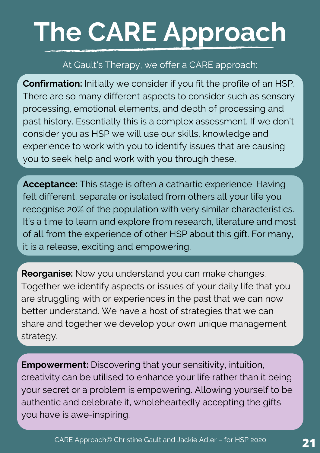## **The CARE Approach**

#### At Gault's Therapy, we offer a CARE approach:

**Confirmation:** Initially we consider if you fit the profile of an HSP. There are so many different aspects to consider such as sensory processing, emotional elements, and depth of processing and past history. Essentially this is a complex assessment. If we don't consider you as HSP we will use our skills, knowledge and experience to work with you to identify issues that are causing you to seek help and work with you through these.

**Acceptance:** This stage is often a cathartic experience. Having felt different, separate or isolated from others all your life you recognise 20% of the population with very similar characteristics. It's a time to learn and explore from research, literature and most of all from the experience of other HSP about this gift. For many, it is a release, exciting and empowering.

**Reorganise:** Now you understand you can make changes. Together we identify aspects or issues of your daily life that you are struggling with or experiences in the past that we can now better understand. We have a host of strategies that we can share and together we develop your own unique management strategy.

**Empowerment:** Discovering that your sensitivity, intuition, creativity can be utilised to enhance your life rather than it being your secret or a problem is empowering. Allowing yourself to be authentic and celebrate it, wholeheartedly accepting the gifts you have is awe-inspiring.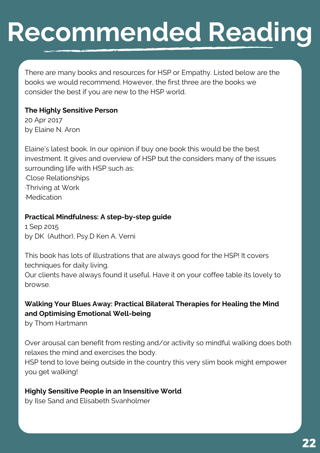### **Recommended Reading**

There are many books and resources for HSP or Empathy. Listed below are the books we would recommend. However, the first three are the books we consider the best if you are new to the HSP world.

#### **The Highly Sensitive Person**

20 Apr 2017 by Elaine N. Aron

Elaine's latest book. In our opinion if buy one book this would be the best investment. It gives and overview of HSP but the considers many of the issues surrounding life with HSP such as: ·Close Relationships

·Thriving at Work ·Medication

#### **Practical Mindfulness: A step-by-step guide**

1 Sep 2015 by DK (Author), Psy.D Ken A. Verni

This book has lots of illustrations that are always good for the HSP! It covers techniques for daily living.

Our clients have always found it useful. Have it on your coffee table its lovely to browse.

#### **Walking Your Blues Away: Practical Bilateral Therapies for Healing the Mind and Optimising Emotional Well-being**

by Thom Hartmann

Over arousal can benefit from resting and/or activity so mindful walking does both relaxes the mind and exercises the body.

HSP tend to love being outside in the country this very slim book might empower you get walking!

#### **Highly Sensitive People in an Insensitive World**

by Ilse Sand and Elisabeth Svanholmer